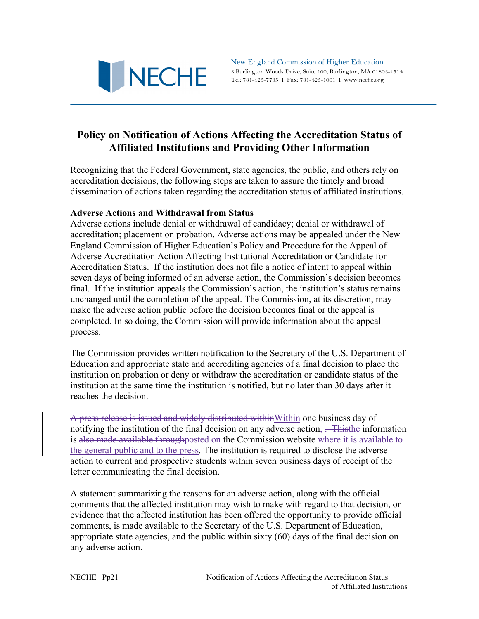

New England Commission of Higher Education 3 Burlington Woods Drive, Suite 100, Burlington, MA 01803-4514 Tel: 781-425-7785 I Fax: 781-425-1001 I www.neche.org

# **Policy on Notification of Actions Affecting the Accreditation Status of Affiliated Institutions and Providing Other Information**

Recognizing that the Federal Government, state agencies, the public, and others rely on accreditation decisions, the following steps are taken to assure the timely and broad dissemination of actions taken regarding the accreditation status of affiliated institutions.

## **Adverse Actions and Withdrawal from Status**

Adverse actions include denial or withdrawal of candidacy; denial or withdrawal of accreditation; placement on probation. Adverse actions may be appealed under the New England Commission of Higher Education's Policy and Procedure for the Appeal of Adverse Accreditation Action Affecting Institutional Accreditation or Candidate for Accreditation Status. If the institution does not file a notice of intent to appeal within seven days of being informed of an adverse action, the Commission's decision becomes final. If the institution appeals the Commission's action, the institution's status remains unchanged until the completion of the appeal. The Commission, at its discretion, may make the adverse action public before the decision becomes final or the appeal is completed. In so doing, the Commission will provide information about the appeal process.

The Commission provides written notification to the Secretary of the U.S. Department of Education and appropriate state and accrediting agencies of a final decision to place the institution on probation or deny or withdraw the accreditation or candidate status of the institution at the same time the institution is notified, but no later than 30 days after it reaches the decision.

A press release is issued and widely distributed withinWithin one business day of notifying the institution of the final decision on any adverse action, <del>. Thisthe</del> information is also made available throughposted on the Commission website where it is available to the general public and to the press. The institution is required to disclose the adverse action to current and prospective students within seven business days of receipt of the letter communicating the final decision.

A statement summarizing the reasons for an adverse action, along with the official comments that the affected institution may wish to make with regard to that decision, or evidence that the affected institution has been offered the opportunity to provide official comments, is made available to the Secretary of the U.S. Department of Education, appropriate state agencies, and the public within sixty (60) days of the final decision on any adverse action.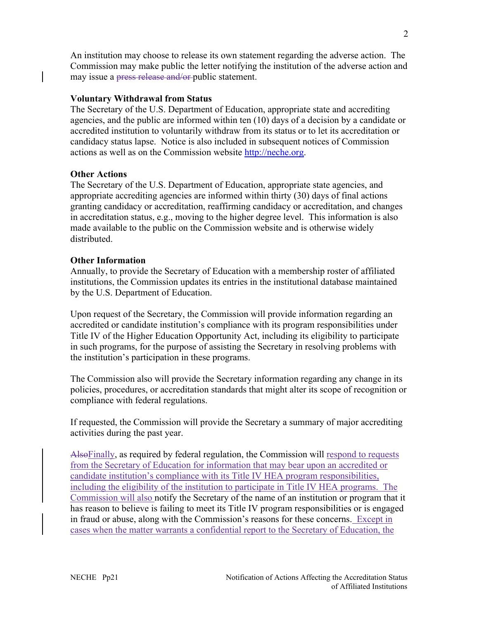An institution may choose to release its own statement regarding the adverse action. The Commission may make public the letter notifying the institution of the adverse action and may issue a press release and/or-public statement.

## **Voluntary Withdrawal from Status**

The Secretary of the U.S. Department of Education, appropriate state and accrediting agencies, and the public are informed within ten (10) days of a decision by a candidate or accredited institution to voluntarily withdraw from its status or to let its accreditation or candidacy status lapse. Notice is also included in subsequent notices of Commission actions as well as on the Commission website http://neche.org.

## **Other Actions**

The Secretary of the U.S. Department of Education, appropriate state agencies, and appropriate accrediting agencies are informed within thirty (30) days of final actions granting candidacy or accreditation, reaffirming candidacy or accreditation, and changes in accreditation status, e.g., moving to the higher degree level. This information is also made available to the public on the Commission website and is otherwise widely distributed.

### **Other Information**

Annually, to provide the Secretary of Education with a membership roster of affiliated institutions, the Commission updates its entries in the institutional database maintained by the U.S. Department of Education.

Upon request of the Secretary, the Commission will provide information regarding an accredited or candidate institution's compliance with its program responsibilities under Title IV of the Higher Education Opportunity Act, including its eligibility to participate in such programs, for the purpose of assisting the Secretary in resolving problems with the institution's participation in these programs.

The Commission also will provide the Secretary information regarding any change in its policies, procedures, or accreditation standards that might alter its scope of recognition or compliance with federal regulations.

If requested, the Commission will provide the Secretary a summary of major accrediting activities during the past year.

Also Finally, as required by federal regulation, the Commission will respond to requests from the Secretary of Education for information that may bear upon an accredited or candidate institution's compliance with its Title IV HEA program responsibilities, including the eligibility of the institution to participate in Title IV HEA programs. The Commission will also notify the Secretary of the name of an institution or program that it has reason to believe is failing to meet its Title IV program responsibilities or is engaged in fraud or abuse, along with the Commission's reasons for these concerns. Except in cases when the matter warrants a confidential report to the Secretary of Education, the